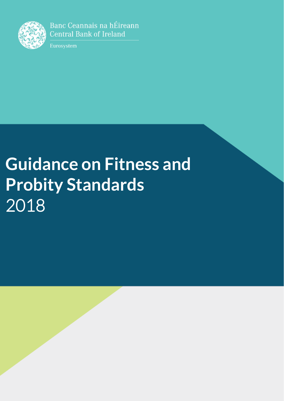

Banc Ceannais na hÉireann **Central Bank of Ireland** 

Eurosystem

# **Guidance on Fitness and Probity Standards** 2018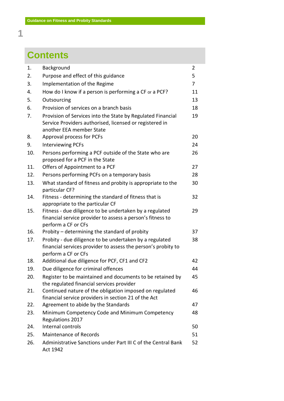## **Contents**

| 1.  | Background                                                                                                                                         | 2              |
|-----|----------------------------------------------------------------------------------------------------------------------------------------------------|----------------|
| 2.  | Purpose and effect of this guidance                                                                                                                | 5              |
| 3.  | Implementation of the Regime                                                                                                                       | $\overline{7}$ |
| 4.  | How do I know if a person is performing a CF or a PCF?                                                                                             | 11             |
| 5.  | Outsourcing                                                                                                                                        | 13             |
| 6.  | Provision of services on a branch basis                                                                                                            | 18             |
| 7.  | Provision of Services into the State by Regulated Financial<br>Service Providers authorised, licensed or registered in<br>another EEA member State | 19             |
| 8.  | Approval process for PCFs                                                                                                                          | 20             |
| 9.  | <b>Interviewing PCFs</b>                                                                                                                           | 24             |
| 10. | Persons performing a PCF outside of the State who are<br>proposed for a PCF in the State                                                           | 26             |
| 11. | Offers of Appointment to a PCF                                                                                                                     | 27             |
| 12. | Persons performing PCFs on a temporary basis                                                                                                       | 28             |
| 13. | What standard of fitness and probity is appropriate to the<br>particular CF?                                                                       | 30             |
| 14. | Fitness - determining the standard of fitness that is<br>appropriate to the particular CF                                                          | 32             |
| 15. | Fitness - due diligence to be undertaken by a regulated<br>financial service provider to assess a person's fitness to<br>perform a CF or CFs       | 29             |
| 16. | Probity – determining the standard of probity                                                                                                      | 37             |
| 17. | Probity - due diligence to be undertaken by a regulated<br>financial services provider to assess the person's probity to<br>perform a CF or CFs    | 38             |
| 18. | Additional due diligence for PCF, CF1 and CF2                                                                                                      | 42             |
| 19. | Due diligence for criminal offences                                                                                                                | 44             |
| 20. | Register to be maintained and documents to be retained by<br>the regulated financial services provider                                             | 45             |
| 21. | Continued nature of the obligation imposed on regulated<br>financial service providers in section 21 of the Act                                    | 46             |
| 22. | Agreement to abide by the Standards                                                                                                                | 47             |
| 23. | Minimum Competency Code and Minimum Competency<br>Regulations 2017                                                                                 | 48             |
| 24. | Internal controls                                                                                                                                  | 50             |
| 25. | <b>Maintenance of Records</b>                                                                                                                      | 51             |
| 26. | Administrative Sanctions under Part III C of the Central Bank<br>Act 1942                                                                          | 52             |

**1**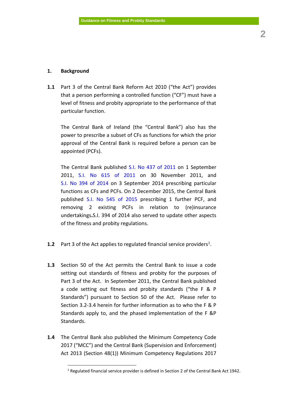#### **1. Background**

 $\overline{a}$ 

**1.1** Part 3 of the Central Bank Reform Act 2010 ("the Act") provides that a person performing a controlled function ("CF") must have a level of fitness and probity appropriate to the performance of that particular function.

The Central Bank of Ireland (the "Central Bank") also has the power to prescribe a subset of CFs as functions for which the prior approval of the Central Bank is required before a person can be appointed (PCFs).

The Central Bank published [S.I. No 437 of 2011](http://www.irishstatutebook.ie/eli/2011/si/437/made/en/print) on 1 September 2011, [S.I. No 615 of 2011](http://www.irishstatutebook.ie/eli/2011/si/615/made/en/print) on 30 November 2011, and [S.I. No 394 of 2014](http://www.irishstatutebook.ie/eli/2014/si/394/made/en/print) on 3 September 2014 prescribing particular functions as CFs and PCFs. On 2 December 2015, the Central Bank published [S.I. No 545 of 2015](http://www.irishstatutebook.ie/eli/2015/si/545/made/en/print) prescribing 1 further PCF, and removing 2 existing PCFs in relation to (re)insurance undertakings**.**S.I. 394 of 2014 also served to update other aspects of the fitness and probity regulations.

- **1.2** Part 3 of the Act applies to regulated financial service providers<sup>1</sup>.
- **1.3** Section 50 of the Act permits the Central Bank to issue a code setting out standards of fitness and probity for the purposes of Part 3 of the Act. In September 2011, the Central Bank published a code setting out fitness and probity standards ("the F & P Standards") pursuant to Section 50 of the Act. Please refer to Section 3.2-3.4 herein for further information as to who the F & P Standards apply to, and the phased implementation of the F &P Standards.
- **1.4** The Central Bank also published the Minimum Competency Code 2017 ("MCC") and the Central Bank (Supervision and Enforcement) Act 2013 (Section 48(1)) Minimum Competency Regulations 2017

<sup>1</sup> Regulated financial service provider is defined in Section 2 of the Central Bank Act 1942.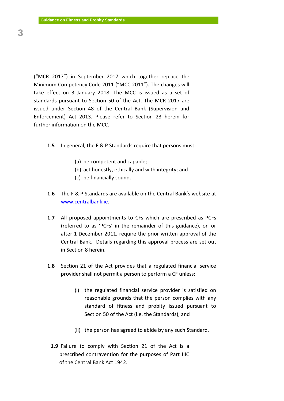("MCR 2017") in September 2017 which together replace the Minimum Competency Code 2011 ("MCC 2011"). The changes will take effect on 3 January 2018. The MCC is issued as a set of standards pursuant to Section 50 of the Act. The MCR 2017 are issued under Section 48 of the Central Bank (Supervision and Enforcement) Act 2013. Please refer to Section 23 herein for further information on the MCC.

- **1.5** In general, the F & P Standards require that persons must:
	- (a) be competent and capable;
	- (b) act honestly, ethically and with integrity; and
	- (c) be financially sound.
- **1.6** The F & P Standards are available on the Central Bank's website at [www.centralbank.ie.](http://www.centralbank.ie/)
- **1.7** All proposed appointments to CFs which are prescribed as PCFs (referred to as 'PCFs' in the remainder of this guidance), on or after 1 December 2011, require the prior written approval of the Central Bank. Details regarding this approval process are set out in Section 8 herein.
- **1.8** Section 21 of the Act provides that a regulated financial service provider shall not permit a person to perform a CF unless:
	- (i) the regulated financial service provider is satisfied on reasonable grounds that the person complies with any standard of fitness and probity issued pursuant to Section 50 of the Act (i.e. the Standards); and
	- (ii) the person has agreed to abide by any such Standard.
	- **1.9** Failure to comply with Section 21 of the Act is a prescribed contravention for the purposes of Part IIIC of the Central Bank Act 1942.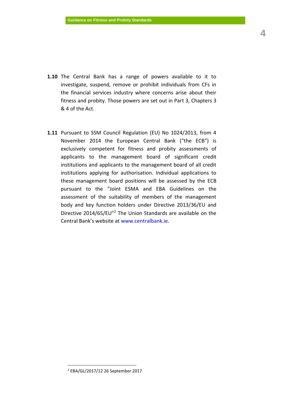- **1.10** The Central Bank has a range of powers available to it to investigate, suspend, remove or prohibit individuals from CFs in the financial services industry where concerns arise about their fitness and probity. Those powers are set out in Part 3, Chapters 3 & 4 of the Act.
- **1.11** Pursuant to SSM Council Regulation (EU) No 1024/2013, from 4 November 2014 the European Central Bank ("the ECB") is exclusively competent for fitness and probity assessments of applicants to the management board of significant credit institutions and applicants to the management board of all credit institutions applying for authorisation. Individual applications to these management board positions will be assessed by the ECB pursuant to the "Joint ESMA and EBA Guidelines on the assessment of the suitability of members of the management body and key function holders under Directive 2013/36/EU and Directive 2014/65/EU"<sup>2</sup> The Union Standards are available on the Central Bank's website at [www.centralbank.ie.](http://www.centralbank.ie/)

 $\overline{a}$ 

<sup>2</sup> EBA/GL/2017/12 26 September 2017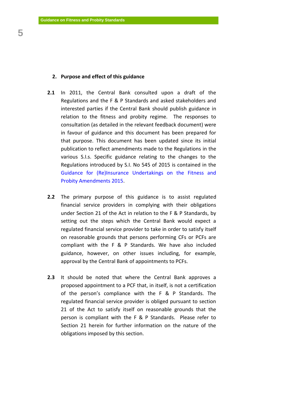## **2. Purpose and effect of this guidance**

- **2.1** In 2011, the Central Bank consulted upon a draft of the Regulations and the F & P Standards and asked stakeholders and interested parties if the Central Bank should publish guidance in relation to the fitness and probity regime. The responses to consultation (as detailed in the relevant feedback document) were in favour of guidance and this document has been prepared for that purpose. This document has been updated since its initial publication to reflect amendments made to the Regulations in the various S.I.s. Specific guidance relating to the changes to the Regulations introduced by S.I. No 545 of 2015 is contained in the [Guidance for \(Re\)Insurance Undertakings on the Fitness and](https://centralbank.ie/docs/default-source/Regulation/insurance-reinsurance/solvency-ii/requirements-and-guidance/guidance---fp-amendments-2015.pdf?sfvrsn=4)  [Probity Amendments 2015.](https://centralbank.ie/docs/default-source/Regulation/insurance-reinsurance/solvency-ii/requirements-and-guidance/guidance---fp-amendments-2015.pdf?sfvrsn=4)
- **2.2** The primary purpose of this guidance is to assist regulated financial service providers in complying with their obligations under Section 21 of the Act in relation to the F & P Standards, by setting out the steps which the Central Bank would expect a regulated financial service provider to take in order to satisfy itself on reasonable grounds that persons performing CFs or PCFs are compliant with the F & P Standards. We have also included guidance, however, on other issues including, for example, approval by the Central Bank of appointments to PCFs.
- **2.3** It should be noted that where the Central Bank approves a proposed appointment to a PCF that, in itself, is not a certification of the person's compliance with the F & P Standards. The regulated financial service provider is obliged pursuant to section 21 of the Act to satisfy itself on reasonable grounds that the person is compliant with the F & P Standards. Please refer to Section 21 herein for further information on the nature of the obligations imposed by this section.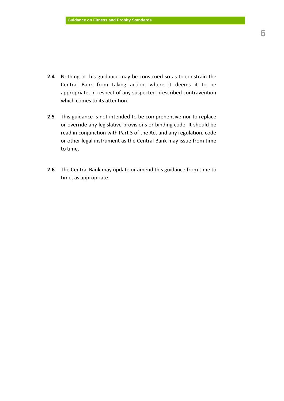- **2.4** Nothing in this guidance may be construed so as to constrain the Central Bank from taking action, where it deems it to be appropriate, in respect of any suspected prescribed contravention which comes to its attention.
- **2.5** This guidance is not intended to be comprehensive nor to replace or override any legislative provisions or binding code. It should be read in conjunction with Part 3 of the Act and any regulation, code or other legal instrument as the Central Bank may issue from time to time.
- **2.6** The Central Bank may update or amend this guidance from time to time, as appropriate.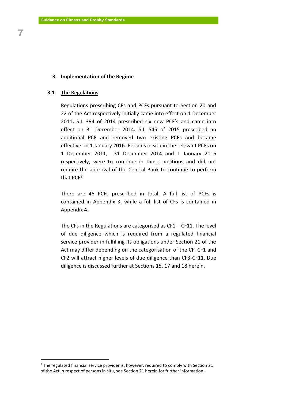**7**

#### **3. Implementation of the Regime**

#### **3.1** The Regulations

1

Regulations prescribing CFs and PCFs pursuant to Section 20 and 22 of the Act respectively initially came into effect on 1 December 2011**.** S.I. 394 of 2014 prescribed six new PCF's and came into effect on 31 December 2014**.** S.I. 545 of 2015 prescribed an additional PCF and removed two existing PCFs and became effective on 1 January 2016. Persons in situ in the relevant PCFs on 1 December 2011, 31 December 2014 and 1 January 2016 respectively, were to continue in those positions and did not require the approval of the Central Bank to continue to perform that PCF<sup>3</sup>.

There are 46 PCFs prescribed in total. A full list of PCFs is contained in Appendix 3, while a full list of CFs is contained in Appendix 4.

The CFs in the Regulations are categorised as  $CF1 - CF11$ . The level of due diligence which is required from a regulated financial service provider in fulfilling its obligations under Section 21 of the Act may differ depending on the categorisation of the CF. CF1 and CF2 will attract higher levels of due diligence than CF3-CF11. Due diligence is discussed further at Sections 15, 17 and 18 herein.

 $3$  The regulated financial service provider is, however, required to comply with Section 21 of the Act in respect of persons in situ, see Section 21 herein for further information.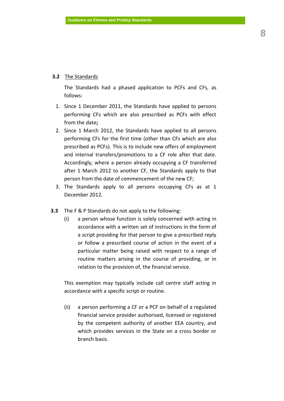## **3.2** The Standards

The Standards had a phased application to PCFs and CFs, as follows:

- 1. Since 1 December 2011, the Standards have applied to persons performing CFs which are also prescribed as PCFs with effect from the date**;**
- 2. Since 1 March 2012, the Standards have applied to all persons performing CFs for the first time (other than CFs which are also prescribed as PCFs). This is to include new offers of employment and internal transfers/promotions to a CF role after that date. Accordingly, where a person already occupying a CF transferred after 1 March 2012 to another CF, the Standards apply to that person from the date of commencement of the new CF;
- 3. The Standards apply to all persons occupying CFs as at 1 December 2012.
- **3.3** The F & P Standards do not apply to the following:
	- (i) a person whose function is solely concerned with acting in accordance with a written set of instructions in the form of a script providing for that person to give a prescribed reply or follow a prescribed course of action in the event of a particular matter being raised with respect to a range of routine matters arising in the course of providing, or in relation to the provision of, the financial service.

This exemption may typically include call centre staff acting in accordance with a specific script or routine.

(ii) a person performing a CF or a PCF on behalf of a regulated financial service provider authorised, licensed or registered by the competent authority of another EEA country, and which provides services in the State on a cross border or branch basis.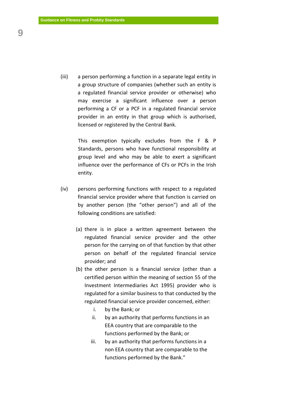(iii) a person performing a function in a separate legal entity in a group structure of companies (whether such an entity is a regulated financial service provider or otherwise) who may exercise a significant influence over a person performing a CF or a PCF in a regulated financial service provider in an entity in that group which is authorised, licensed or registered by the Central Bank.

> This exemption typically excludes from the F & P Standards, persons who have functional responsibility at group level and who may be able to exert a significant influence over the performance of CFs or PCFs in the Irish entity.

- (iv) persons performing functions with respect to a regulated financial service provider where that function is carried on by another person (the "other person") and all of the following conditions are satisfied:
	- (a) there is in place a written agreement between the regulated financial service provider and the other person for the carrying on of that function by that other person on behalf of the regulated financial service provider; and
	- (b) the other person is a financial service (other than a certified person within the meaning of section 55 of the Investment Intermediaries Act 1995) provider who is regulated for a similar business to that conducted by the regulated financial service provider concerned, either:
		- i. by the Bank; or
		- ii. by an authority that performs functions in an EEA country that are comparable to the functions performed by the Bank; or
		- iii. by an authority that performs functions in a non EEA country that are comparable to the functions performed by the Bank."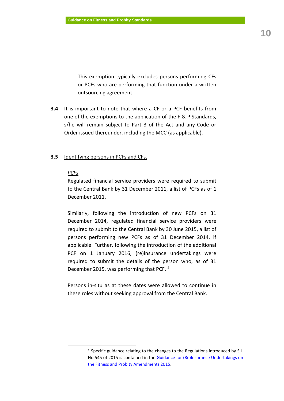This exemption typically excludes persons performing CFs or PCFs who are performing that function under a written outsourcing agreement.

**3.4** It is important to note that where a CF or a PCF benefits from one of the exemptions to the application of the F & P Standards, s/he will remain subject to Part 3 of the Act and any Code or Order issued thereunder, including the MCC (as applicable).

#### **3.5** Identifying persons in PCFs and CFs.

#### *PCFs*

 $\overline{a}$ 

Regulated financial service providers were required to submit to the Central Bank by 31 December 2011, a list of PCFs as of 1 December 2011.

Similarly, following the introduction of new PCFs on 31 December 2014, regulated financial service providers were required to submit to the Central Bank by 30 June 2015, a list of persons performing new PCFs as of 31 December 2014, if applicable. Further, following the introduction of the additional PCF on 1 January 2016, (re)insurance undertakings were required to submit the details of the person who, as of 31 December 2015, was performing that PCF. <sup>4</sup>

Persons in-situ as at these dates were allowed to continue in these roles without seeking approval from the Central Bank.

<sup>&</sup>lt;sup>4</sup> Specific guidance relating to the changes to the Regulations introduced by S.I. No 545 of 2015 is contained in the [Guidance for \(Re\)Insurance Undertakings on](https://centralbank.ie/docs/default-source/Regulation/insurance-reinsurance/solvency-ii/requirements-and-guidance/guidance---fp-amendments-2015.pdf?sfvrsn=4)  [the Fitness and Probity Amendments 2015.](https://centralbank.ie/docs/default-source/Regulation/insurance-reinsurance/solvency-ii/requirements-and-guidance/guidance---fp-amendments-2015.pdf?sfvrsn=4)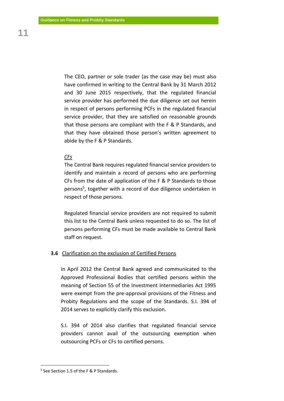The CEO, partner or sole trader (as the case may be) must also have confirmed in writing to the Central Bank by 31 March 2012 and 30 June 2015 respectively, that the regulated financial service provider has performed the due diligence set out herein in respect of persons performing PCFs in the regulated financial service provider, that they are satisfied on reasonable grounds that those persons are compliant with the F & P Standards, and that they have obtained those person's written agreement to abide by the F & P Standards.

#### *CFs*

The Central Bank requires regulated financial service providers to identify and maintain a record of persons who are performing CFs from the date of application of the F & P Standards to those persons<sup>5</sup>, together with a record of due diligence undertaken in respect of those persons.

Regulated financial service providers are not required to submit this list to the Central Bank unless requested to do so. The list of persons performing CFs must be made available to Central Bank staff on request.

#### **3.6** Clarification on the exclusion of Certified Persons

In April 2012 the Central Bank agreed and communicated to the Approved Professional Bodies that certified persons within the meaning of Section 55 of the Investment Intermediaries Act 1995 were exempt from the pre-approval provisions of the Fitness and Probity Regulations and the scope of the Standards. S.I. 394 of 2014 serves to explicitly clarify this exclusion.

S.I. 394 of 2014 also clarifies that regulated financial service providers cannot avail of the outsourcing exemption when outsourcing PCFs or CFs to certified persons.

<u>.</u>

<sup>5</sup> See Section 1.5 of the F & P Standards.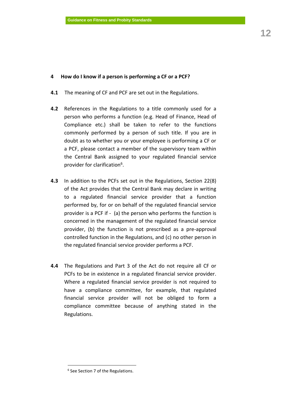## **4 How do I know if a person is performing a CF or a PCF?**

- **4.1** The meaning of CF and PCF are set out in the Regulations.
- **4.2** References in the Regulations to a title commonly used for a person who performs a function (e.g. Head of Finance, Head of Compliance etc.) shall be taken to refer to the functions commonly performed by a person of such title. If you are in doubt as to whether you or your employee is performing a CF or a PCF, please contact a member of the supervisory team within the Central Bank assigned to your regulated financial service provider for clarification<sup>6</sup>.
- **4.3** In addition to the PCFs set out in the Regulations, Section 22(8) of the Act provides that the Central Bank may declare in writing to a regulated financial service provider that a function performed by, for or on behalf of the regulated financial service provider is a PCF if - (a) the person who performs the function is concerned in the management of the regulated financial service provider, (b) the function is not prescribed as a pre-approval controlled function in the Regulations, and (c) no other person in the regulated financial service provider performs a PCF.
- **4.4** The Regulations and Part 3 of the Act do not require all CF or PCFs to be in existence in a regulated financial service provider. Where a regulated financial service provider is not required to have a compliance committee, for example, that regulated financial service provider will not be obliged to form a compliance committee because of anything stated in the Regulations.

 $\overline{a}$ 

<sup>&</sup>lt;sup>6</sup> See Section 7 of the Regulations.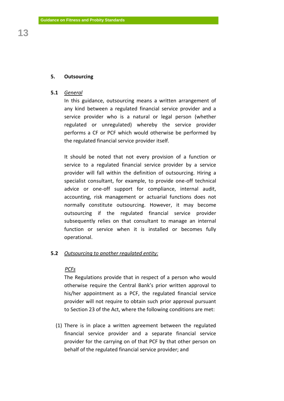## **5. Outsourcing**

#### **5.1** *General*

In this guidance, outsourcing means a written arrangement of any kind between a regulated financial service provider and a service provider who is a natural or legal person (whether regulated or unregulated) whereby the service provider performs a CF or PCF which would otherwise be performed by the regulated financial service provider itself.

It should be noted that not every provision of a function or service to a regulated financial service provider by a service provider will fall within the definition of outsourcing. Hiring a specialist consultant, for example, to provide one-off technical advice or one-off support for compliance, internal audit, accounting, risk management or actuarial functions does not normally constitute outsourcing. However, it may become outsourcing if the regulated financial service provider subsequently relies on that consultant to manage an internal function or service when it is installed or becomes fully operational.

## **5.2** *Outsourcing to another regulated entity:*

## *PCFs*

The Regulations provide that in respect of a person who would otherwise require the Central Bank's prior written approval to his/her appointment as a PCF, the regulated financial service provider will not require to obtain such prior approval pursuant to Section 23 of the Act, where the following conditions are met:

(1) There is in place a written agreement between the regulated financial service provider and a separate financial service provider for the carrying on of that PCF by that other person on behalf of the regulated financial service provider; and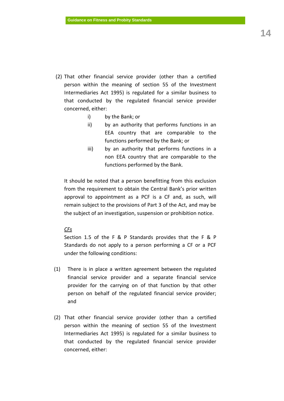- (2) That other financial service provider (other than a certified person within the meaning of section 55 of the Investment Intermediaries Act 1995) is regulated for a similar business to that conducted by the regulated financial service provider concerned, either:
	- i) by the Bank; or
	- ii) by an authority that performs functions in an EEA country that are comparable to the functions performed by the [Bank;](http://www.betterregulation.com/doc/1/22995/#Bank_CBA_1942) or
	- iii) by an authority that performs functions in a non EEA country that are comparable to the functions performed by the Bank.

It should be noted that a person benefitting from this exclusion from the requirement to obtain the Central Bank's prior written approval to appointment as a PCF is a CF and, as such, will remain subject to the provisions of Part 3 of the Act, and may be the subject of an investigation, suspension or prohibition notice.

## *CFs*

Section 1.5 of the F & P Standards provides that the F & P Standards do not apply to a person performing a CF or a PCF under the following conditions:

- (1) There is in place a written agreement between the regulated financial service provider and a separate financial service provider for the carrying on of that function by that other person on behalf of the regulated financial service provider; and
- (2) That other financial service provider (other than a certified person within the meaning of section 55 of the Investment Intermediaries Act 1995) is regulated for a similar business to that conducted by the regulated financial service provider concerned, either: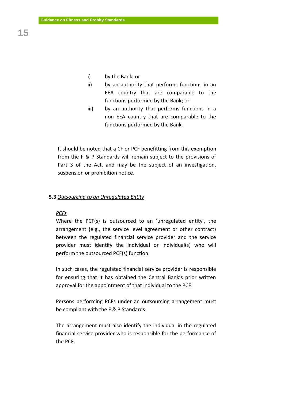- i) by the Bank; or
- ii) by an authority that performs functions in an EEA country that are comparable to the functions performed by the [Bank;](http://www.betterregulation.com/doc/1/22995/#Bank_CBA_1942) or
- iii) by an authority that performs functions in a non EEA country that are comparable to the functions performed by the Bank.

It should be noted that a CF or PCF benefitting from this exemption from the F & P Standards will remain subject to the provisions of Part 3 of the Act, and may be the subject of an investigation, suspension or prohibition notice.

#### **5.3** *Outsourcing to an Unregulated Entity*

#### *PCFs*

Where the PCF(s) is outsourced to an 'unregulated entity', the arrangement (e.g., the service level agreement or other contract) between the regulated financial service provider and the service provider must identify the individual or individual(s) who will perform the outsourced PCF(s) function.

In such cases, the regulated financial service provider is responsible for ensuring that it has obtained the Central Bank's prior written approval for the appointment of that individual to the PCF.

Persons performing PCFs under an outsourcing arrangement must be compliant with the F & P Standards.

The arrangement must also identify the individual in the regulated financial service provider who is responsible for the performance of the PCF.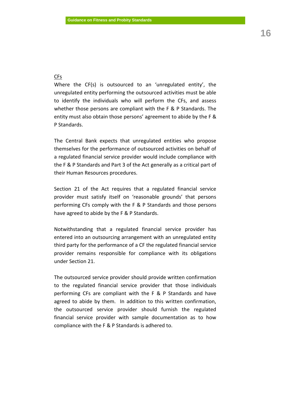## CFs

Where the CF(s) is outsourced to an 'unregulated entity', the unregulated entity performing the outsourced activities must be able to identify the individuals who will perform the CFs, and assess whether those persons are compliant with the F & P Standards. The entity must also obtain those persons' agreement to abide by the F & P Standards.

The Central Bank expects that unregulated entities who propose themselves for the performance of outsourced activities on behalf of a regulated financial service provider would include compliance with the F & P Standards and Part 3 of the Act generally as a critical part of their Human Resources procedures.

Section 21 of the Act requires that a regulated financial service provider must satisfy itself on 'reasonable grounds' that persons performing CFs comply with the F & P Standards and those persons have agreed to abide by the F & P Standards.

Notwithstanding that a regulated financial service provider has entered into an outsourcing arrangement with an unregulated entity third party for the performance of a CF the regulated financial service provider remains responsible for compliance with its obligations under Section 21.

The outsourced service provider should provide written confirmation to the regulated financial service provider that those individuals performing CFs are compliant with the F & P Standards and have agreed to abide by them. In addition to this written confirmation, the outsourced service provider should furnish the regulated financial service provider with sample documentation as to how compliance with the F & P Standards is adhered to.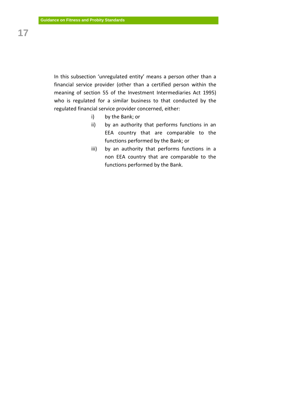In this subsection 'unregulated entity' means a person other than a financial service provider (other than a certified person within the meaning of section 55 of the Investment Intermediaries Act 1995) who is regulated for a similar business to that conducted by the regulated financial service provider concerned, either:

- i) by the Bank; or
- ii) by an authority that performs functions in an EEA country that are comparable to the functions performed by the [Bank;](http://www.betterregulation.com/doc/1/22995/#Bank_CBA_1942) or
- iii) by an authority that performs functions in a non EEA country that are comparable to the functions performed by the Bank.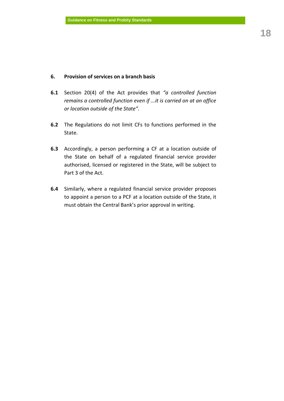## **6. Provision of services on a branch basis**

- **6.1** Section 20(4) of the Act provides that *"a controlled function remains a controlled function even if ...it is carried on at an office or location outside of the State".*
- **6.2** The Regulations do not limit CFs to functions performed in the State.
- **6.3** Accordingly, a person performing a CF at a location outside of the State on behalf of a regulated financial service provider authorised, licensed or registered in the State, will be subject to Part 3 of the Act.
- **6.4** Similarly, where a regulated financial service provider proposes to appoint a person to a PCF at a location outside of the State, it must obtain the Central Bank's prior approval in writing.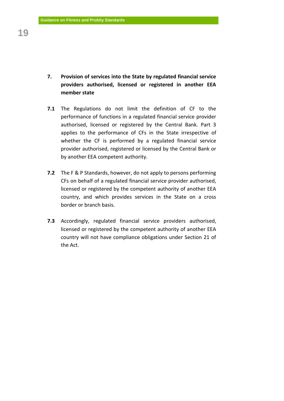- **7. Provision of services into the State by regulated financial service providers authorised, licensed or registered in another EEA member state**
- **7.1** The Regulations do not limit the definition of CF to the performance of functions in a regulated financial service provider authorised, licensed or registered by the Central Bank. Part 3 applies to the performance of CFs in the State irrespective of whether the CF is performed by a regulated financial service provider authorised, registered or licensed by the Central Bank or by another EEA competent authority.
- **7.2** The F & P Standards, however, do not apply to persons performing CFs on behalf of a regulated financial service provider authorised, licensed or registered by the competent authority of another EEA country, and which provides services in the State on a cross border or branch basis.
- **7.3** Accordingly, regulated financial service providers authorised, licensed or registered by the competent authority of another EEA country will not have compliance obligations under Section 21 of the Act.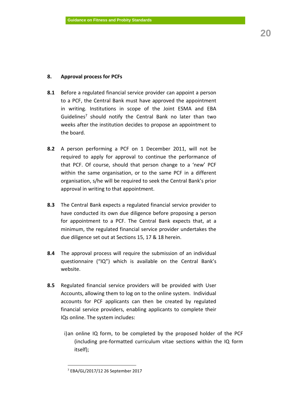## **8. Approval process for PCFs**

- **8.1** Before a regulated financial service provider can appoint a person to a PCF, the Central Bank must have approved the appointment in writing. Institutions in scope of the Joint ESMA and EBA Guidelines<sup>7</sup> should notify the Central Bank no later than two weeks after the institution decides to propose an appointment to the board.
- **8.2** A person performing a PCF on 1 December 2011, will not be required to apply for approval to continue the performance of that PCF. Of course, should that person change to a 'new' PCF within the same organisation, or to the same PCF in a different organisation, s/he will be required to seek the Central Bank's prior approval in writing to that appointment.
- **8.3** The Central Bank expects a regulated financial service provider to have conducted its own due diligence before proposing a person for appointment to a PCF. The Central Bank expects that, at a minimum, the regulated financial service provider undertakes the due diligence set out at Sections 15, 17 & 18 herein.
- **8.4** The approval process will require the submission of an individual questionnaire ("IQ") which is available on the Central Bank's website.
- **8.5** Regulated financial service providers will be provided with User Accounts, allowing them to log on to the online system. Individual accounts for PCF applicants can then be created by regulated financial service providers, enabling applicants to complete their IQs online. The system includes:
	- i)an online IQ form, to be completed by the proposed holder of the PCF (including pre-formatted curriculum vitae sections within the IQ form itself);

 $\overline{a}$ 

<sup>7</sup> EBA/GL/2017/12 26 September 2017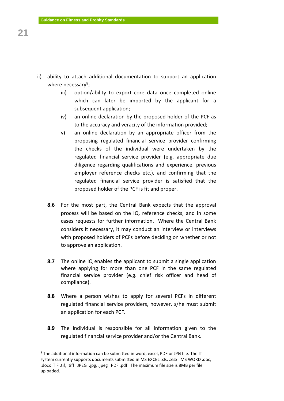- ii) ability to attach additional documentation to support an application where necessary<sup>8</sup>;
	- iii) option/ability to export core data once completed online which can later be imported by the applicant for a subsequent application;
	- iv) an online declaration by the proposed holder of the PCF as to the accuracy and veracity of the information provided;
	- v) an online declaration by an appropriate officer from the proposing regulated financial service provider confirming the checks of the individual were undertaken by the regulated financial service provider (e.g. appropriate due diligence regarding qualifications and experience, previous employer reference checks etc.), and confirming that the regulated financial service provider is satisfied that the proposed holder of the PCF is fit and proper.
	- **8.6** For the most part, the Central Bank expects that the approval process will be based on the IQ, reference checks, and in some cases requests for further information. Where the Central Bank considers it necessary, it may conduct an interview or interviews with proposed holders of PCFs before deciding on whether or not to approve an application.
	- **8.7** The online IQ enables the applicant to submit a single application where applying for more than one PCF in the same regulated financial service provider (e.g. chief risk officer and head of compliance).
	- **8.8** Where a person wishes to apply for several PCFs in different regulated financial service providers, however, s/he must submit an application for each PCF.
	- **8.9** The individual is responsible for all information given to the regulated financial service provider and/or the Central Bank.

1

<sup>8</sup> The additional information can be submitted in word, excel, PDF or JPG file. The IT system currently supports documents submitted in MS EXCEL .xls, .xlsx MS WORD .doc, .docx TIF .tif, .tiff JPEG .jpg, .jpeg PDF .pdf The maximum file size is 8MB per file uploaded.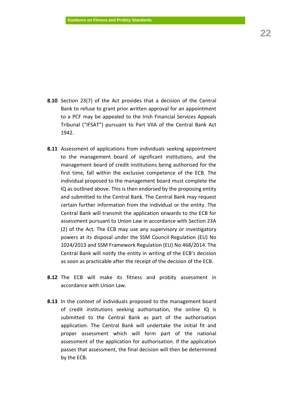- **8.10** Section 23(7) of the Act provides that a decision of the Central Bank to refuse to grant prior written approval for an appointment to a PCF may be appealed to the Irish Financial Services Appeals Tribunal ("IFSAT") pursuant to Part VIIA of the Central Bank Act 1942.
- **8.11** Assessment of applications from individuals seeking appointment to the management board of significant institutions, and the management board of credit institutions being authorised for the first time, fall within the exclusive competence of the ECB. The individual proposed to the management board must complete the IQ as outlined above. This is then endorsed by the proposing entity and submitted to the Central Bank. The Central Bank may request certain further information from the individual or the entity. The Central Bank will transmit the application onwards to the ECB for assessment pursuant to Union Law in accordance with Section 23A (2) of the Act. The ECB may use any supervisory or investigatory powers at its disposal under the SSM Council Regulation (EU) No 1024/2013 and SSM Framework Regulation (EU) No 468/2014. The Central Bank will notify the entity in writing of the ECB's decision as soon as practicable after the receipt of the decision of the ECB.
- **8.12** The ECB will make its fitness and probity assessment in accordance with Union Law.
- **8.13** In the context of individuals proposed to the management board of credit institutions seeking authorisation, the online IQ is submitted to the Central Bank as part of the authorisation application. The Central Bank will undertake the initial fit and proper assessment which will form part of the national assessment of the application for authorisation. If the application passes that assessment, the final decision will then be determined by the ECB.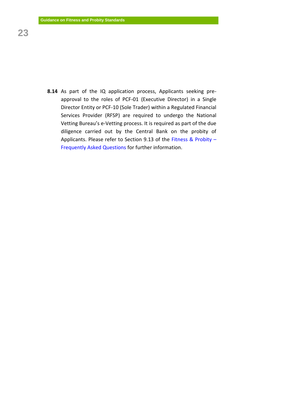**8.14** As part of the IQ application process, Applicants seeking preapproval to the roles of PCF-01 (Executive Director) in a Single Director Entity or PCF-10 (Sole Trader) within a Regulated Financial Services Provider (RFSP) are required to undergo the National Vetting Bureau's e-Vetting process. It is required as part of the due diligence carried out by the Central Bank on the probity of Applicants. Please refer to Section 9.13 of the [Fitness & Probity](https://www.centralbank.ie/docs/default-source/Regulation/how-we-regulate/authorisation/authorisation/fitness-probity/regulated-financial-service-providers/ongoing-compliance/fitness-and-probity---faq-2017-clean.pdf?sfvrsn=10) – [Frequently Asked Questions](https://www.centralbank.ie/docs/default-source/Regulation/how-we-regulate/authorisation/authorisation/fitness-probity/regulated-financial-service-providers/ongoing-compliance/fitness-and-probity---faq-2017-clean.pdf?sfvrsn=10) for further information.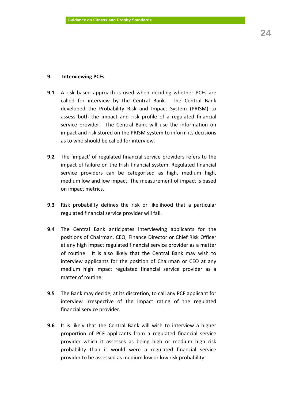## **9. Interviewing PCFs**

- **9.1** A risk based approach is used when deciding whether PCFs are called for interview by the Central Bank. The Central Bank developed the Probability Risk and Impact System (PRISM) to assess both the impact and risk profile of a regulated financial service provider. The Central Bank will use the information on impact and risk stored on the PRISM system to inform its decisions as to who should be called for interview.
- **9.2** The 'impact' of regulated financial service providers refers to the impact of failure on the Irish financial system. Regulated financial service providers can be categorised as high, medium high, medium low and low impact. The measurement of impact is based on impact metrics.
- **9.3** Risk probability defines the risk or likelihood that a particular regulated financial service provider will fail.
- **9.4** The Central Bank anticipates interviewing applicants for the positions of Chairman, CEO, Finance Director or Chief Risk Officer at any high impact regulated financial service provider as a matter of routine. It is also likely that the Central Bank may wish to interview applicants for the position of Chairman or CEO at any medium high impact regulated financial service provider as a matter of routine.
- **9.5** The Bank may decide, at its discretion, to call any PCF applicant for interview irrespective of the impact rating of the regulated financial service provider.
- **9.6** It is likely that the Central Bank will wish to interview a higher proportion of PCF applicants from a regulated financial service provider which it assesses as being high or medium high risk probability than it would were a regulated financial service provider to be assessed as medium low or low risk probability.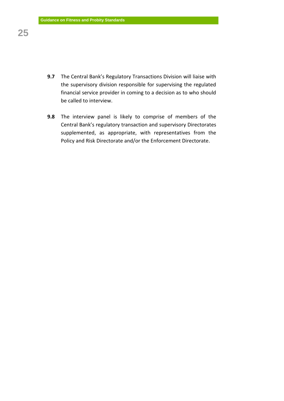- **9.7** The Central Bank's Regulatory Transactions Division will liaise with the supervisory division responsible for supervising the regulated financial service provider in coming to a decision as to who should be called to interview.
- **9.8** The interview panel is likely to comprise of members of the Central Bank's regulatory transaction and supervisory Directorates supplemented, as appropriate, with representatives from the Policy and Risk Directorate and/or the Enforcement Directorate.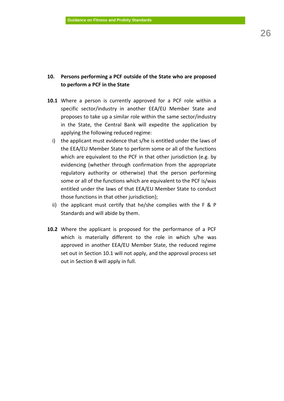## **10. Persons performing a PCF outside of the State who are proposed to perform a PCF in the State**

- **10.1** Where a person is currently approved for a PCF role within a specific sector/industry in another EEA/EU Member State and proposes to take up a similar role within the same sector/industry in the State, the Central Bank will expedite the application by applying the following reduced regime:
	- i) the applicant must evidence that s/he is entitled under the laws of the EEA/EU Member State to perform some or all of the functions which are equivalent to the PCF in that other jurisdiction (e.g. by evidencing (whether through confirmation from the appropriate regulatory authority or otherwise) that the person performing some or all of the functions which are equivalent to the PCF is/was entitled under the laws of that EEA/EU Member State to conduct those functions in that other jurisdiction);
	- ii) the applicant must certify that he/she complies with the F & P Standards and will abide by them.
- **10.2** Where the applicant is proposed for the performance of a PCF which is materially different to the role in which s/he was approved in another EEA/EU Member State, the reduced regime set out in Section 10.1 will not apply, and the approval process set out in Section 8 will apply in full.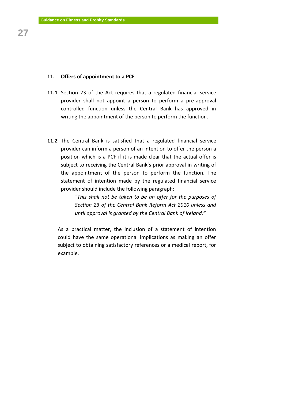## **11. Offers of appointment to a PCF**

- **11.1** Section 23 of the Act requires that a regulated financial service provider shall not appoint a person to perform a pre-approval controlled function unless the Central Bank has approved in writing the appointment of the person to perform the function.
- **11.2** The Central Bank is satisfied that a regulated financial service provider can inform a person of an intention to offer the person a position which is a PCF if it is made clear that the actual offer is subject to receiving the Central Bank's prior approval in writing of the appointment of the person to perform the function. The statement of intention made by the regulated financial service provider should include the following paragraph:

*"This shall not be taken to be an offer for the purposes of Section 23 of the Central Bank Reform Act 2010 unless and until approval is granted by the Central Bank of Ireland."*

As a practical matter, the inclusion of a statement of intention could have the same operational implications as making an offer subject to obtaining satisfactory references or a medical report, for example.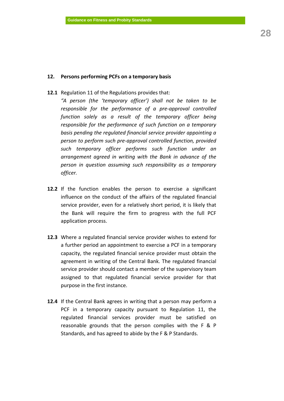## **12. Persons performing PCFs on a temporary basis**

**12.1** Regulation 11 of the Regulations provides that:

*"A person (the 'temporary officer') shall not be taken to be responsible for the performance of a pre-approval controlled function solely as a result of the temporary officer being responsible for the performance of such function on a temporary basis pending the regulated financial service provider appointing a person to perform such pre-approval controlled function, provided such temporary officer performs such function under an arrangement agreed in writing with the Bank in advance of the person in question assuming such responsibility as a temporary officer.*

- **12.2** If the function enables the person to exercise a significant influence on the conduct of the affairs of the regulated financial service provider, even for a relatively short period, it is likely that the Bank will require the firm to progress with the full PCF application process.
- **12.3** Where a regulated financial service provider wishes to extend for a further period an appointment to exercise a PCF in a temporary capacity, the regulated financial service provider must obtain the agreement in writing of the Central Bank. The regulated financial service provider should contact a member of the supervisory team assigned to that regulated financial service provider for that purpose in the first instance.
- **12.4** If the Central Bank agrees in writing that a person may perform a PCF in a temporary capacity pursuant to Regulation 11, the regulated financial services provider must be satisfied on reasonable grounds that the person complies with the F & P Standards, and has agreed to abide by the F & P Standards.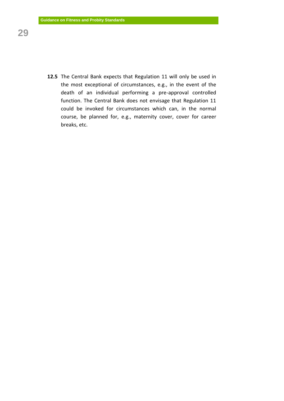**12.5** The Central Bank expects that Regulation 11 will only be used in the most exceptional of circumstances, e.g., in the event of the death of an individual performing a pre-approval controlled function. The Central Bank does not envisage that Regulation 11 could be invoked for circumstances which can, in the normal course, be planned for, e.g., maternity cover, cover for career breaks, etc.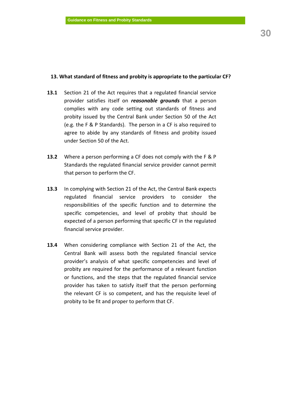## **13. What standard of fitness and probity is appropriate to the particular CF?**

- **13.1** Section 21 of the Act requires that a regulated financial service provider satisfies itself on *reasonable grounds* that a person complies with any code setting out standards of fitness and probity issued by the Central Bank under Section 50 of the Act (e.g. the F & P Standards). The person in a CF is also required to agree to abide by any standards of fitness and probity issued under Section 50 of the Act.
- **13.2** Where a person performing a CF does not comply with the F & P Standards the regulated financial service provider cannot permit that person to perform the CF.
- **13.3** In complying with Section 21 of the Act, the Central Bank expects regulated financial service providers to consider the responsibilities of the specific function and to determine the specific competencies, and level of probity that should be expected of a person performing that specific CF in the regulated financial service provider.
- **13.4** When considering compliance with Section 21 of the Act, the Central Bank will assess both the regulated financial service provider's analysis of what specific competencies and level of probity are required for the performance of a relevant function or functions, and the steps that the regulated financial service provider has taken to satisfy itself that the person performing the relevant CF is so competent, and has the requisite level of probity to be fit and proper to perform that CF.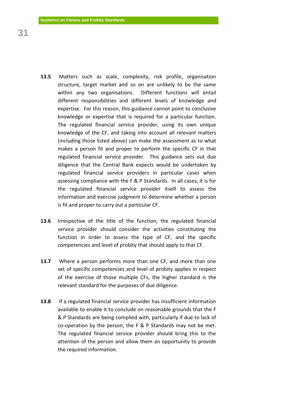- **13.5** Matters such as scale, complexity, risk profile, organisation structure, target market and so on are unlikely to be the same within any two organisations. Different functions will entail different responsibilities and different levels of knowledge and expertise. For this reason, this guidance cannot point to conclusive knowledge or expertise that is required for a particular function. The regulated financial service provider, using its own unique knowledge of the CF, and taking into account all relevant matters (including those listed above) can make the assessment as to what makes a person fit and proper to perform the specific CF in that regulated financial service provider. This guidance sets out due diligence that the Central Bank expects would be undertaken by regulated financial service providers in particular cases when assessing compliance with the F & P Standards. In all cases, it is for the regulated financial service provider itself to assess the information and exercise judgment to determine whether a person is fit and proper to carry out a particular CF.
- **13.6** Irrespective of the title of the function, the regulated financial service provider should consider the activities constituting the function in order to assess the type of CF, and the specific competencies and level of probity that should apply to that CF.
- **13.7** Where a person performs more than one CF, and more than one set of specific competencies and level of probity applies in respect of the exercise of those multiple CFs, the higher standard is the relevant standard for the purposes of due diligence.
- **13.8** If a regulated financial service provider has insufficient information available to enable it to conclude on reasonable grounds that the F & P Standards are being complied with, particularly if due to lack of co-operation by the person, the F & P Standards may not be met. The regulated financial service provider should bring this to the attention of the person and allow them an opportunity to provide the required information.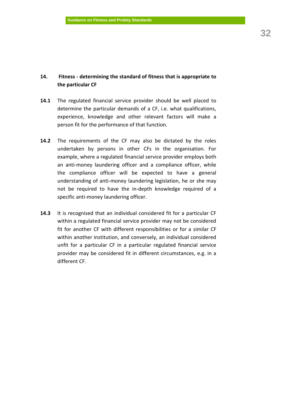## **14. Fitness - determining the standard of fitness that is appropriate to the particular CF**

- **14.1** The regulated financial service provider should be well placed to determine the particular demands of a CF, i.e. what qualifications, experience, knowledge and other relevant factors will make a person fit for the performance of that function.
- **14.2** The requirements of the CF may also be dictated by the roles undertaken by persons in other CFs in the organisation. For example, where a regulated financial service provider employs both an anti-money laundering officer and a compliance officer, while the compliance officer will be expected to have a general understanding of anti-money laundering legislation, he or she may not be required to have the in-depth knowledge required of a specific anti-money laundering officer.
- **14.3** It is recognised that an individual considered fit for a particular CF within a regulated financial service provider may not be considered fit for another CF with different responsibilities or for a similar CF within another institution, and conversely, an individual considered unfit for a particular CF in a particular regulated financial service provider may be considered fit in different circumstances, e.g. in a different CF.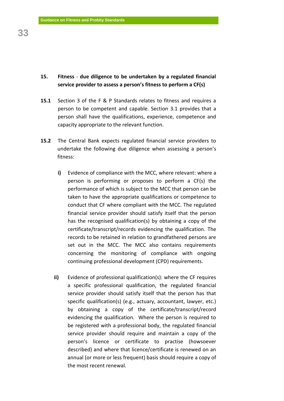## **15. Fitness** - **due diligence to be undertaken by a regulated financial service provider to assess a person's fitness to perform a CF(s)**

- **15.1** Section 3 of the F & P Standards relates to fitness and requires a person to be competent and capable. Section 3.1 provides that a person shall have the qualifications, experience, competence and capacity appropriate to the relevant function.
- **15.2** The Central Bank expects regulated financial service providers to undertake the following due diligence when assessing a person's fitness:
	- **i)** Evidence of compliance with the MCC, where relevant: where a person is performing or proposes to perform a CF(s) the performance of which is subject to the MCC that person can be taken to have the appropriate qualifications or competence to conduct that CF where compliant with the MCC. The regulated financial service provider should satisfy itself that the person has the recognised qualification(s) by obtaining a copy of the certificate/transcript/records evidencing the qualification. The records to be retained in relation to grandfathered persons are set out in the MCC. The MCC also contains requirements concerning the monitoring of compliance with ongoing continuing professional development (CPD) requirements.
	- **ii)** Evidence of professional qualification(s): where the CF requires a specific professional qualification, the regulated financial service provider should satisfy itself that the person has that specific qualification(s) (e.g., actuary, accountant, lawyer, etc.) by obtaining a copy of the certificate/transcript/record evidencing the qualification. Where the person is required to be registered with a professional body, the regulated financial service provider should require and maintain a copy of the person's licence or certificate to practise (howsoever described) and where that licence/certificate is renewed on an annual (or more or less frequent) basis should require a copy of the most recent renewal.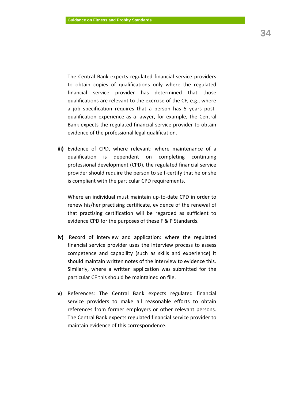The Central Bank expects regulated financial service providers to obtain copies of qualifications only where the regulated financial service provider has determined that those qualifications are relevant to the exercise of the CF, e.g., where a job specification requires that a person has 5 years postqualification experience as a lawyer, for example, the Central Bank expects the regulated financial service provider to obtain evidence of the professional legal qualification.

**iii)** Evidence of CPD, where relevant: where maintenance of a qualification is dependent on completing continuing professional development (CPD), the regulated financial service provider should require the person to self-certify that he or she is compliant with the particular CPD requirements.

Where an individual must maintain up-to-date CPD in order to renew his/her practising certificate, evidence of the renewal of that practising certification will be regarded as sufficient to evidence CPD for the purposes of these F & P Standards.

- **iv)** Record of interview and application: where the regulated financial service provider uses the interview process to assess competence and capability (such as skills and experience) it should maintain written notes of the interview to evidence this. Similarly, where a written application was submitted for the particular CF this should be maintained on file.
- **v)** References: The Central Bank expects regulated financial service providers to make all reasonable efforts to obtain references from former employers or other relevant persons. The Central Bank expects regulated financial service provider to maintain evidence of this correspondence.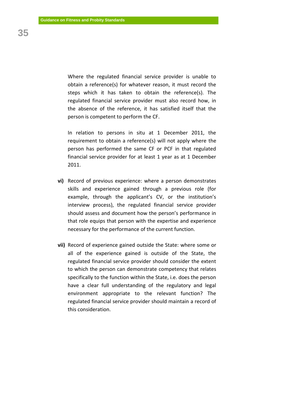Where the regulated financial service provider is unable to obtain a reference(s) for whatever reason, it must record the steps which it has taken to obtain the reference(s). The regulated financial service provider must also record how, in the absence of the reference, it has satisfied itself that the person is competent to perform the CF.

In relation to persons in situ at 1 December 2011, the requirement to obtain a reference(s) will not apply where the person has performed the same CF or PCF in that regulated financial service provider for at least 1 year as at 1 December 2011.

- **vi)** Record of previous experience: where a person demonstrates skills and experience gained through a previous role (for example, through the applicant's CV, or the institution's interview process), the regulated financial service provider should assess and document how the person's performance in that role equips that person with the expertise and experience necessary for the performance of the current function.
- **vii)** Record of experience gained outside the State: where some or all of the experience gained is outside of the State, the regulated financial service provider should consider the extent to which the person can demonstrate competency that relates specifically to the function within the State, i.e. does the person have a clear full understanding of the regulatory and legal environment appropriate to the relevant function? The regulated financial service provider should maintain a record of this consideration.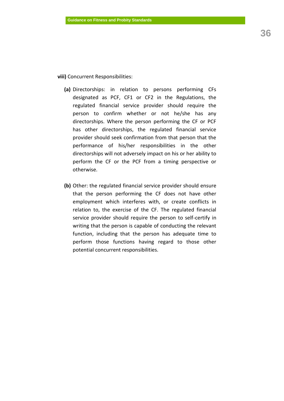**viii)** Concurrent Responsibilities:

- **(a)** Directorships: in relation to persons performing CFs designated as PCF, CF1 or CF2 in the Regulations, the regulated financial service provider should require the person to confirm whether or not he/she has any directorships. Where the person performing the CF or PCF has other directorships, the regulated financial service provider should seek confirmation from that person that the performance of his/her responsibilities in the other directorships will not adversely impact on his or her ability to perform the CF or the PCF from a timing perspective or otherwise.
- **(b)** Other: the regulated financial service provider should ensure that the person performing the CF does not have other employment which interferes with, or create conflicts in relation to, the exercise of the CF. The regulated financial service provider should require the person to self-certify in writing that the person is capable of conducting the relevant function, including that the person has adequate time to perform those functions having regard to those other potential concurrent responsibilities.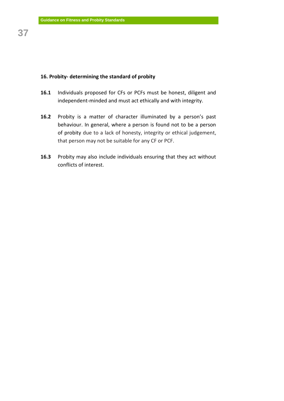## **16. Probity- determining the standard of probity**

- **16.1** Individuals proposed for CFs or PCFs must be honest, diligent and independent-minded and must act ethically and with integrity.
- **16.2** Probity is a matter of character illuminated by a person's past behaviour. In general, where a person is found not to be a person of probity due to a lack of honesty, integrity or ethical judgement, that person may not be suitable for any CF or PCF.
- **16.3** Probity may also include individuals ensuring that they act without conflicts of interest.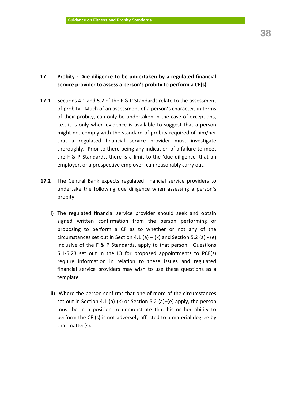## **17 Probity - Due diligence to be undertaken by a regulated financial service provider to assess a person's probity to perform a CF(s)**

- **17.1** Sections 4.1 and 5.2 of the F & P Standards relate to the assessment of probity. Much of an assessment of a person's character, in terms of their probity, can only be undertaken in the case of exceptions, i.e., it is only when evidence is available to suggest that a person might not comply with the standard of probity required of him/her that a regulated financial service provider must investigate thoroughly. Prior to there being any indication of a failure to meet the F & P Standards, there is a limit to the 'due diligence' that an employer, or a prospective employer, can reasonably carry out.
- **17.2** The Central Bank expects regulated financial service providers to undertake the following due diligence when assessing a person's probity:
	- i) The regulated financial service provider should seek and obtain signed written confirmation from the person performing or proposing to perform a CF as to whether or not any of the circumstances set out in Section 4.1 (a) – (k) and Section 5.2 (a) - (e) inclusive of the F & P Standards, apply to that person. Questions 5.1-5.23 set out in the IQ for proposed appointments to PCF(s) require information in relation to these issues and regulated financial service providers may wish to use these questions as a template.
	- ii) Where the person confirms that one of more of the circumstances set out in Section 4.1 (a)-(k) or Section 5.2 (a)–(e) apply, the person must be in a position to demonstrate that his or her ability to perform the CF (s) is not adversely affected to a material degree by that matter(s).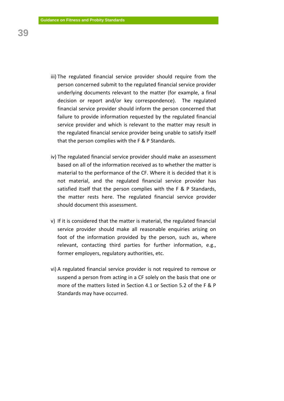- iii) The regulated financial service provider should require from the person concerned submit to the regulated financial service provider underlying documents relevant to the matter (for example, a final decision or report and/or key correspondence). The regulated financial service provider should inform the person concerned that failure to provide information requested by the regulated financial service provider and which is relevant to the matter may result in the regulated financial service provider being unable to satisfy itself that the person complies with the F & P Standards.
- iv) The regulated financial service provider should make an assessment based on all of the information received as to whether the matter is material to the performance of the CF. Where it is decided that it is not material, and the regulated financial service provider has satisfied itself that the person complies with the F & P Standards, the matter rests here. The regulated financial service provider should document this assessment.
- v) If it is considered that the matter is material, the regulated financial service provider should make all reasonable enquiries arising on foot of the information provided by the person, such as, where relevant, contacting third parties for further information, e.g., former employers, regulatory authorities, etc.
- vi) A regulated financial service provider is not required to remove or suspend a person from acting in a CF solely on the basis that one or more of the matters listed in Section 4.1 or Section 5.2 of the F & P Standards may have occurred.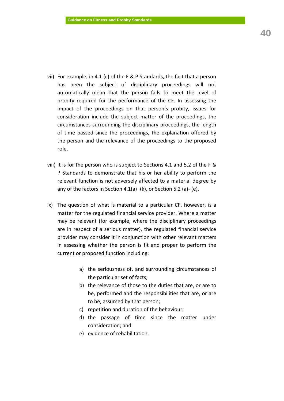- vii) For example, in 4.1 (c) of the F & P Standards, the fact that a person has been the subject of disciplinary proceedings will not automatically mean that the person fails to meet the level of probity required for the performance of the CF. In assessing the impact of the proceedings on that person's probity, issues for consideration include the subject matter of the proceedings, the circumstances surrounding the disciplinary proceedings, the length of time passed since the proceedings, the explanation offered by the person and the relevance of the proceedings to the proposed role.
- viii) It is for the person who is subject to Sections 4.1 and 5.2 of the F & P Standards to demonstrate that his or her ability to perform the relevant function is not adversely affected to a material degree by any of the factors in Section 4.1(a)–(k), or Section 5.2 (a)- (e).
- ix) The question of what is material to a particular CF, however, is a matter for the regulated financial service provider. Where a matter may be relevant (for example, where the disciplinary proceedings are in respect of a serious matter), the regulated financial service provider may consider it in conjunction with other relevant matters in assessing whether the person is fit and proper to perform the current or proposed function including:
	- a) the seriousness of, and surrounding circumstances of the particular set of facts;
	- b) the relevance of those to the duties that are, or are to be, performed and the responsibilities that are, or are to be, assumed by that person;
	- c) repetition and duration of the behaviour;
	- d) the passage of time since the matter under consideration; and
	- e) evidence of rehabilitation.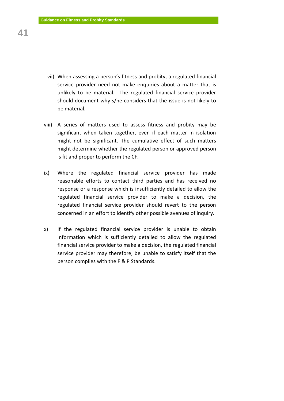- vii) When assessing a person's fitness and probity, a regulated financial service provider need not make enquiries about a matter that is unlikely to be material. The regulated financial service provider should document why s/he considers that the issue is not likely to be material.
- viii) A series of matters used to assess fitness and probity may be significant when taken together, even if each matter in isolation might not be significant. The cumulative effect of such matters might determine whether the regulated person or approved person is fit and proper to perform the CF.
- ix) Where the regulated financial service provider has made reasonable efforts to contact third parties and has received no response or a response which is insufficiently detailed to allow the regulated financial service provider to make a decision, the regulated financial service provider should revert to the person concerned in an effort to identify other possible avenues of inquiry.
- x) If the regulated financial service provider is unable to obtain information which is sufficiently detailed to allow the regulated financial service provider to make a decision, the regulated financial service provider may therefore, be unable to satisfy itself that the person complies with the F & P Standards.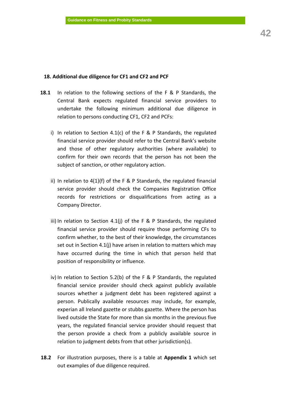#### **18. Additional due diligence for CF1 and CF2 and PCF**

- **18.1** In relation to the following sections of the F & P Standards, the Central Bank expects regulated financial service providers to undertake the following minimum additional due diligence in relation to persons conducting CF1, CF2 and PCFs:
	- i) In relation to Section 4.1(c) of the F & P Standards, the regulated financial service provider should refer to the Central Bank's website and those of other regulatory authorities (where available) to confirm for their own records that the person has not been the subject of sanction, or other regulatory action.
	- ii) In relation to 4(1)(f) of the F & P Standards, the regulated financial service provider should check the Companies Registration Office records for restrictions or disqualifications from acting as a Company Director.
	- iii) In relation to Section 4.1(j) of the F & P Standards, the regulated financial service provider should require those performing CFs to confirm whether, to the best of their knowledge, the circumstances set out in Section 4.1(j) have arisen in relation to matters which may have occurred during the time in which that person held that position of responsibility or influence.
	- iv) In relation to Section 5.2(b) of the F & P Standards, the regulated financial service provider should check against publicly available sources whether a judgment debt has been registered against a person. Publically available resources may include, for example, experian all Ireland gazette or stubbs gazette. Where the person has lived outside the State for more than six months in the previous five years, the regulated financial service provider should request that the person provide a check from a publicly available source in relation to judgment debts from that other jurisdiction(s).
- **18.2** For illustration purposes, there is a table at **Appendix 1** which set out examples of due diligence required.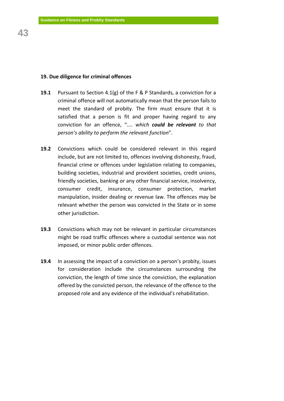## **19. Due diligence for criminal offences**

- **19.1** Pursuant to Section 4.1(g) of the F & P Standards, a conviction for a criminal offence will not automatically mean that the person fails to meet the standard of probity. The firm must ensure that it is satisfied that a person is fit and proper having regard to any conviction for an offence, ".... *which could be relevant to that person's ability to perform the relevant function*".
- **19.2** Convictions which could be considered relevant in this regard include, but are not limited to, offences involving dishonesty, fraud, financial crime or offences under legislation relating to companies, building societies, industrial and provident societies, credit unions, friendly societies, banking or any other financial service, insolvency, consumer credit, insurance, consumer protection, market manipulation, insider dealing or revenue law. The offences may be relevant whether the person was convicted in the State or in some other jurisdiction.
- **19.3** Convictions which may not be relevant in particular circumstances might be road traffic offences where a custodial sentence was not imposed, or minor public order offences.
- **19.4** In assessing the impact of a conviction on a person's probity, issues for consideration include the circumstances surrounding the conviction, the length of time since the conviction, the explanation offered by the convicted person, the relevance of the offence to the proposed role and any evidence of the individual's rehabilitation.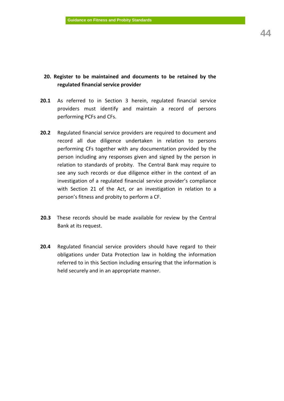## **20. Register to be maintained and documents to be retained by the regulated financial service provider**

- **20.1** As referred to in Section 3 herein, regulated financial service providers must identify and maintain a record of persons performing PCFs and CFs.
- **20.2** Regulated financial service providers are required to document and record all due diligence undertaken in relation to persons performing CFs together with any documentation provided by the person including any responses given and signed by the person in relation to standards of probity. The Central Bank may require to see any such records or due diligence either in the context of an investigation of a regulated financial service provider's compliance with Section 21 of the Act, or an investigation in relation to a person's fitness and probity to perform a CF.
- **20.3** These records should be made available for review by the Central Bank at its request.
- **20.4** Regulated financial service providers should have regard to their obligations under Data Protection law in holding the information referred to in this Section including ensuring that the information is held securely and in an appropriate manner.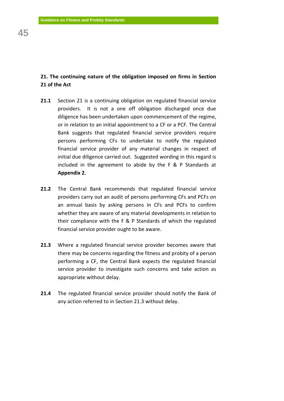## **21. The continuing nature of the obligation imposed on firms in Section 21 of the Act**

- **21.1** Section 21 is a continuing obligation on regulated financial service providers. It is not a one off obligation discharged once due diligence has been undertaken upon commencement of the regime, or in relation to an initial appointment to a CF or a PCF. The Central Bank suggests that regulated financial service providers require persons performing CFs to undertake to notify the regulated financial service provider of any material changes in respect of initial due diligence carried out. Suggested wording in this regard is included in the agreement to abide by the F & P Standards at **Appendix 2.**
- **21.2** The Central Bank recommends that regulated financial service providers carry out an audit of persons performing CFs and PCFs on an annual basis by asking persons in CFs and PCFs to confirm whether they are aware of any material developments in relation to their compliance with the F & P Standards of which the regulated financial service provider ought to be aware.
- **21.3** Where a regulated financial service provider becomes aware that there may be concerns regarding the fitness and probity of a person performing a CF, the Central Bank expects the regulated financial service provider to investigate such concerns and take action as appropriate without delay.
- **21.4** The regulated financial service provider should notify the Bank of any action referred to in Section 21.3 without delay.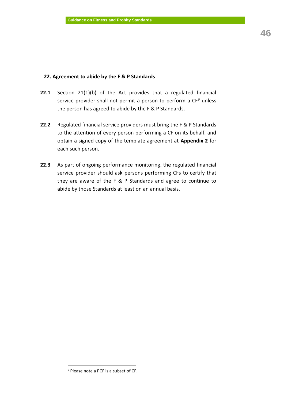## **22. Agreement to abide by the F & P Standards**

- **22.1** Section 21(1)(b) of the Act provides that a regulated financial service provider shall not permit a person to perform a CF<sup>9</sup> unless the person has agreed to abide by the F & P Standards.
- **22.2** Regulated financial service providers must bring the F & P Standards to the attention of every person performing a CF on its behalf, and obtain a signed copy of the template agreement at **Appendix 2** for each such person.
- **22.3** As part of ongoing performance monitoring, the regulated financial service provider should ask persons performing CFs to certify that they are aware of the F & P Standards and agree to continue to abide by those Standards at least on an annual basis.

 $\overline{a}$ 

<sup>9</sup> Please note a PCF is a subset of CF.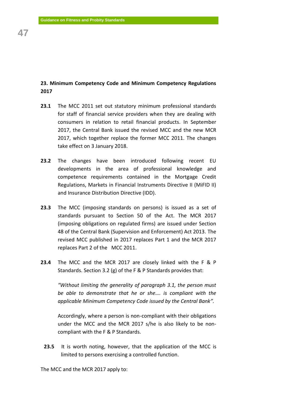## **23. Minimum Competency Code and Minimum Competency Regulations 2017**

- **23.1** The MCC 2011 set out statutory minimum professional standards for staff of financial service providers when they are dealing with consumers in relation to retail financial products. In September 2017, the Central Bank issued the revised MCC and the new MCR 2017, which together replace the former MCC 2011. The changes take effect on 3 January 2018.
- **23.2** The changes have been introduced following recent EU developments in the area of professional knowledge and competence requirements contained in the Mortgage Credit Regulations, Markets in Financial Instruments Directive II (MiFID II) and Insurance Distribution Directive (IDD).
- **23.3** The MCC (imposing standards on persons) is issued as a set of standards pursuant to Section 50 of the Act. The MCR 2017 (imposing obligations on regulated firms) are issued under Section 48 of the Central Bank (Supervision and Enforcement) Act 2013. The revised MCC published in 2017 replaces Part 1 and the MCR 2017 replaces Part 2 of the MCC 2011.
- **23.4** The MCC and the MCR 2017 are closely linked with the F & P Standards. Section 3.2 (g) of the F & P Standards provides that:

*"Without limiting the generality of paragraph 3.1, the person must be able to demonstrate that he or she…. is compliant with the applicable Minimum Competency Code issued by the Central Bank".* 

Accordingly, where a person is non-compliant with their obligations under the MCC and the MCR 2017 s/he is also likely to be noncompliant with the F & P Standards.

**23.5** It is worth noting, however, that the application of the MCC is limited to persons exercising a controlled function.

The MCC and the MCR 2017 apply to: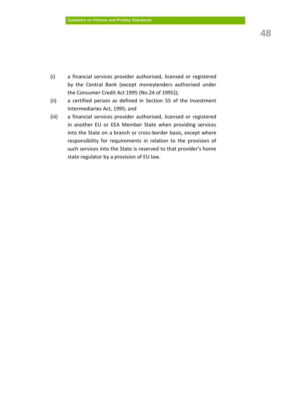- (i) a financial services provider authorised, licensed or registered by the Central Bank (except moneylenders authorised under the Consumer Credit Act 1995 (No.24 of 1995));
- (ii) a certified person as defined in Section 55 of the Investment Intermediaries Act, 1995; and
- (iii) a financial services provider authorised, licensed or registered in another EU or EEA Member State when providing services into the State on a branch or cross-border basis, except where responsibility for requirements in relation to the provision of such services into the State is reserved to that provider's home state regulator by a provision of EU law.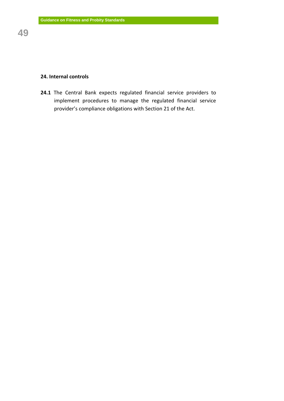## **24. Internal controls**

**24.1** The Central Bank expects regulated financial service providers to implement procedures to manage the regulated financial service provider's compliance obligations with Section 21 of the Act.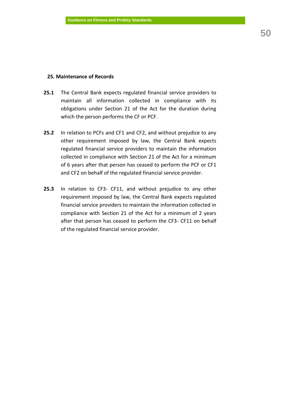## **25. Maintenance of Records**

- **25.1** The Central Bank expects regulated financial service providers to maintain all information collected in compliance with its obligations under Section 21 of the Act for the duration during which the person performs the CF or PCF.
- **25.2** In relation to PCFs and CF1 and CF2, and without prejudice to any other requirement imposed by law, the Central Bank expects regulated financial service providers to maintain the information collected in compliance with Section 21 of the Act for a minimum of 6 years after that person has ceased to perform the PCF or CF1 and CF2 on behalf of the regulated financial service provider.
- **25.3** In relation to CF3- CF11, and without prejudice to any other requirement imposed by law, the Central Bank expects regulated financial service providers to maintain the information collected in compliance with Section 21 of the Act for a minimum of 2 years after that person has ceased to perform the CF3- CF11 on behalf of the regulated financial service provider.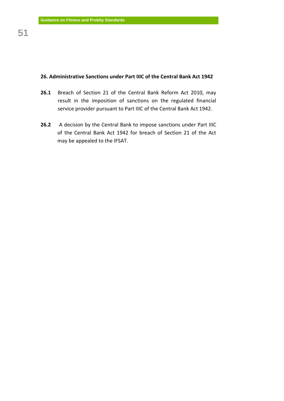## **26. Administrative Sanctions under Part IIIC of the Central Bank Act 1942**

- **26.1** Breach of Section 21 of the Central Bank Reform Act 2010, may result in the imposition of sanctions on the regulated financial service provider pursuant to Part IIIC of the Central Bank Act 1942.
- **26.2** A decision by the Central Bank to impose sanctions under Part IIIC of the Central Bank Act 1942 for breach of Section 21 of the Act may be appealed to the IFSAT.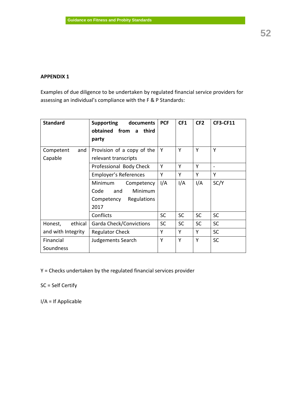## **APPENDIX 1**

Examples of due diligence to be undertaken by regulated financial service providers for assessing an individual's compliance with the F & P Standards:

| <b>Standard</b>    | <b>Supporting</b><br>documents<br>obtained from a<br>third<br>party | <b>PCF</b> | CF1       | CF <sub>2</sub> | <b>CF3-CF11</b> |
|--------------------|---------------------------------------------------------------------|------------|-----------|-----------------|-----------------|
| Competent<br>and   | Provision of a copy of the                                          | Υ          | Υ         | Υ               | Y               |
| Capable            | relevant transcripts                                                |            |           |                 |                 |
|                    | Professional Body Check                                             | Υ          | Υ         | Υ               |                 |
|                    | Employer's References                                               | Y          | Υ         | Υ               | Y               |
|                    | Minimum<br>Competency                                               | I/A        | I/A       | I/A             | SC/Y            |
|                    | Code<br>and<br>Minimum                                              |            |           |                 |                 |
|                    | Regulations<br>Competency                                           |            |           |                 |                 |
|                    | 2017                                                                |            |           |                 |                 |
|                    | Conflicts                                                           | <b>SC</b>  | <b>SC</b> | <b>SC</b>       | <b>SC</b>       |
| ethical<br>Honest, | <b>Garda Check/Convictions</b>                                      | <b>SC</b>  | <b>SC</b> | <b>SC</b>       | <b>SC</b>       |
| and with Integrity | <b>Regulator Check</b>                                              | Υ          | Y         | Y               | <b>SC</b>       |
| Financial          | Judgements Search                                                   | Υ          | Υ         | Y               | <b>SC</b>       |
| Soundness          |                                                                     |            |           |                 |                 |

Y = Checks undertaken by the regulated financial services provider

SC = Self Certify

I/A = If Applicable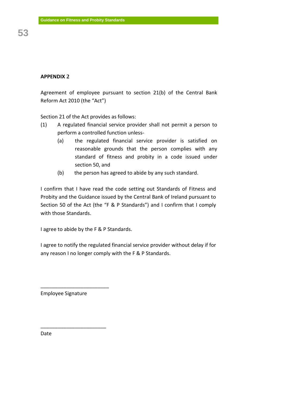Agreement of employee pursuant to section 21(b) of the Central Bank Reform Act 2010 (the "Act")

Section 21 of the Act provides as follows:

- (1) A regulated financial service provider shall not permit a person to perform a controlled function unless-
	- (a) the regulated financial service provider is satisfied on reasonable grounds that the person complies with any standard of fitness and probity in a code issued under section 50, and
	- (b) the person has agreed to abide by any such standard.

I confirm that I have read the code setting out Standards of Fitness and Probity and the Guidance issued by the Central Bank of Ireland pursuant to Section 50 of the Act (the "F & P Standards") and I confirm that I comply with those Standards.

I agree to abide by the F & P Standards.

I agree to notify the regulated financial service provider without delay if for any reason I no longer comply with the F & P Standards.

Employee Signature

\_\_\_\_\_\_\_\_\_\_\_\_\_\_\_\_\_\_\_\_\_\_\_\_

\_\_\_\_\_\_\_\_\_\_\_\_\_\_\_\_\_\_\_\_\_\_\_

Date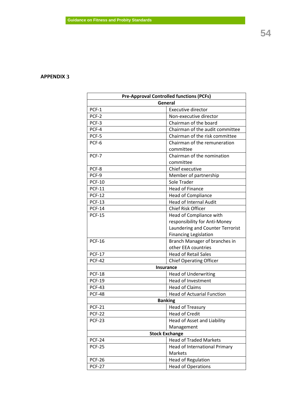## **APPENDIX 3**

| <b>Pre-Approval Controlled functions (PCFs)</b> |                                   |  |  |  |  |  |
|-------------------------------------------------|-----------------------------------|--|--|--|--|--|
|                                                 | General                           |  |  |  |  |  |
| PCF-1                                           | <b>Executive director</b>         |  |  |  |  |  |
| PCF-2                                           | Non-executive director            |  |  |  |  |  |
| PCF-3                                           | Chairman of the board             |  |  |  |  |  |
| PCF-4                                           | Chairman of the audit committee   |  |  |  |  |  |
| PCF-5                                           | Chairman of the risk committee    |  |  |  |  |  |
| PCF-6                                           | Chairman of the remuneration      |  |  |  |  |  |
|                                                 | committee                         |  |  |  |  |  |
| PCF-7                                           | Chairman of the nomination        |  |  |  |  |  |
|                                                 | committee                         |  |  |  |  |  |
| PCF-8                                           | Chief executive                   |  |  |  |  |  |
| PCF-9                                           | Member of partnership             |  |  |  |  |  |
| <b>PCF-10</b>                                   | Sole Trader                       |  |  |  |  |  |
| <b>PCF-11</b>                                   | <b>Head of Finance</b>            |  |  |  |  |  |
| <b>PCF-12</b>                                   | <b>Head of Compliance</b>         |  |  |  |  |  |
| <b>PCF-13</b>                                   | <b>Head of Internal Audit</b>     |  |  |  |  |  |
| <b>PCF-14</b>                                   | <b>Chief Risk Officer</b>         |  |  |  |  |  |
| <b>PCF-15</b>                                   | Head of Compliance with           |  |  |  |  |  |
|                                                 | responsibility for Anti-Money     |  |  |  |  |  |
|                                                 | Laundering and Counter Terrorist  |  |  |  |  |  |
|                                                 | <b>Financing Legislation</b>      |  |  |  |  |  |
| <b>PCF-16</b>                                   | Branch Manager of branches in     |  |  |  |  |  |
|                                                 | other EEA countries               |  |  |  |  |  |
| <b>PCF-17</b>                                   | <b>Head of Retail Sales</b>       |  |  |  |  |  |
| <b>PCF-42</b>                                   | <b>Chief Operating Officer</b>    |  |  |  |  |  |
|                                                 | <b>Insurance</b>                  |  |  |  |  |  |
| <b>PCF-18</b>                                   | <b>Head of Underwriting</b>       |  |  |  |  |  |
| <b>PCF-19</b>                                   | Head of Investment                |  |  |  |  |  |
| <b>PCF-43</b>                                   | <b>Head of Claims</b>             |  |  |  |  |  |
| <b>PCF-48</b>                                   | <b>Head of Actuarial Function</b> |  |  |  |  |  |
|                                                 | <b>Banking</b>                    |  |  |  |  |  |
| <b>PCF-21</b>                                   | <b>Head of Treasury</b>           |  |  |  |  |  |
| <b>PCF-22</b>                                   | <b>Head of Credit</b>             |  |  |  |  |  |
| <b>PCF-23</b>                                   | Head of Asset and Liability       |  |  |  |  |  |
|                                                 | Management                        |  |  |  |  |  |
|                                                 | <b>Stock Exchange</b>             |  |  |  |  |  |
| <b>PCF-24</b>                                   | <b>Head of Traded Markets</b>     |  |  |  |  |  |
| <b>PCF-25</b>                                   | Head of International Primary     |  |  |  |  |  |
|                                                 | Markets                           |  |  |  |  |  |
| <b>PCF-26</b>                                   | <b>Head of Regulation</b>         |  |  |  |  |  |
| <b>PCF-27</b>                                   | <b>Head of Operations</b>         |  |  |  |  |  |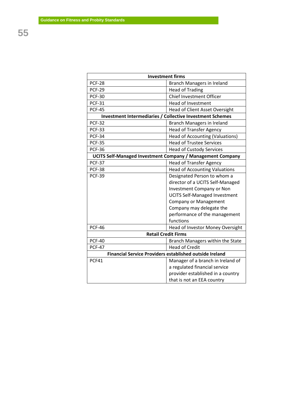| <b>Investment firms</b>                                        |                                                                   |  |  |  |  |  |  |
|----------------------------------------------------------------|-------------------------------------------------------------------|--|--|--|--|--|--|
| <b>PCF-28</b>                                                  | Branch Managers in Ireland                                        |  |  |  |  |  |  |
| <b>PCF-29</b>                                                  | <b>Head of Trading</b>                                            |  |  |  |  |  |  |
| <b>PCF-30</b>                                                  | <b>Chief Investment Officer</b>                                   |  |  |  |  |  |  |
| <b>PCF-31</b>                                                  | <b>Head of Investment</b>                                         |  |  |  |  |  |  |
| <b>PCF-45</b>                                                  | <b>Head of Client Asset Oversight</b>                             |  |  |  |  |  |  |
| Investment Intermediaries / Collective Investment Schemes      |                                                                   |  |  |  |  |  |  |
| <b>PCF-32</b>                                                  | Branch Managers in Ireland                                        |  |  |  |  |  |  |
| <b>PCF-33</b>                                                  | <b>Head of Transfer Agency</b>                                    |  |  |  |  |  |  |
| <b>PCF-34</b>                                                  | <b>Head of Accounting (Valuations)</b>                            |  |  |  |  |  |  |
| <b>PCF-35</b>                                                  | <b>Head of Trustee Services</b>                                   |  |  |  |  |  |  |
| <b>PCF-36</b>                                                  | <b>Head of Custody Services</b>                                   |  |  |  |  |  |  |
|                                                                | <b>UCITS Self-Managed Investment Company / Management Company</b> |  |  |  |  |  |  |
| <b>PCF-37</b>                                                  | <b>Head of Transfer Agency</b>                                    |  |  |  |  |  |  |
| <b>PCF-38</b>                                                  | <b>Head of Accounting Valuations</b>                              |  |  |  |  |  |  |
| <b>PCF-39</b>                                                  | Designated Person to whom a                                       |  |  |  |  |  |  |
|                                                                | director of a UCITS Self-Managed                                  |  |  |  |  |  |  |
|                                                                | <b>Investment Company or Non</b>                                  |  |  |  |  |  |  |
|                                                                | <b>UCITS Self-Managed Investment</b>                              |  |  |  |  |  |  |
|                                                                | <b>Company or Management</b>                                      |  |  |  |  |  |  |
|                                                                | Company may delegate the                                          |  |  |  |  |  |  |
|                                                                | performance of the management                                     |  |  |  |  |  |  |
|                                                                | functions                                                         |  |  |  |  |  |  |
| <b>PCF-46</b>                                                  | Head of Investor Money Oversight                                  |  |  |  |  |  |  |
| <b>Retail Credit Firms</b>                                     |                                                                   |  |  |  |  |  |  |
| <b>PCF-40</b>                                                  | Branch Managers within the State                                  |  |  |  |  |  |  |
| <b>PCF-47</b>                                                  | <b>Head of Credit</b>                                             |  |  |  |  |  |  |
| <b>Financial Service Providers established outside Ireland</b> |                                                                   |  |  |  |  |  |  |
| PCF41                                                          | Manager of a branch in Ireland of                                 |  |  |  |  |  |  |
|                                                                | a regulated financial service                                     |  |  |  |  |  |  |
|                                                                | provider established in a country                                 |  |  |  |  |  |  |
|                                                                | that is not an EEA country                                        |  |  |  |  |  |  |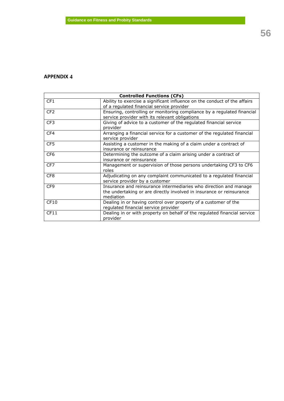## **APPENDIX 4**

| <b>Controlled Functions (CFs)</b> |                                                                                                                                                        |  |  |  |  |
|-----------------------------------|--------------------------------------------------------------------------------------------------------------------------------------------------------|--|--|--|--|
| CF <sub>1</sub>                   | Ability to exercise a significant influence on the conduct of the affairs<br>of a regulated financial service provider                                 |  |  |  |  |
| CF <sub>2</sub>                   | Ensuring, controlling or monitoring compliance by a regulated financial<br>service provider with its relevant obligations                              |  |  |  |  |
| CF <sub>3</sub>                   | Giving of advice to a customer of the regulated financial service<br>provider                                                                          |  |  |  |  |
| CF4                               | Arranging a financial service for a customer of the regulated financial<br>service provider                                                            |  |  |  |  |
| CF5                               | Assisting a customer in the making of a claim under a contract of<br>insurance or reinsurance                                                          |  |  |  |  |
| CF <sub>6</sub>                   | Determining the outcome of a claim arising under a contract of<br>insurance or reinsurance                                                             |  |  |  |  |
| CF7                               | Management or supervision of those persons undertaking CF3 to CF6<br>roles                                                                             |  |  |  |  |
| CF <sub>8</sub>                   | Adjudicating on any complaint communicated to a regulated financial<br>service provider by a customer                                                  |  |  |  |  |
| CF <sub>9</sub>                   | Insurance and reinsurance intermediaries who direction and manage<br>the undertaking or are directly involved in insurance or reinsurance<br>mediation |  |  |  |  |
| CF10                              | Dealing in or having control over property of a customer of the<br>regulated financial service provider                                                |  |  |  |  |
| CF11                              | Dealing in or with property on behalf of the regulated financial service<br>provider                                                                   |  |  |  |  |

**56**